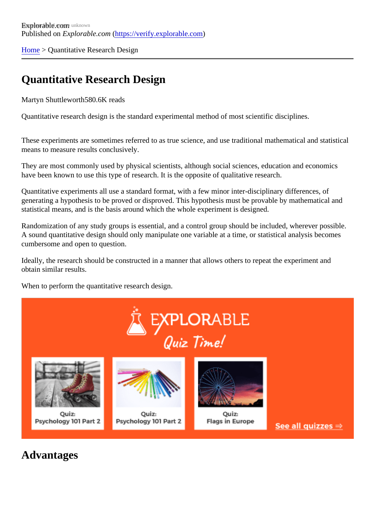[Home](https://verify.explorable.com/) > Quantitative Research Design

## Quantitative Research Design

Martyn Shuttlewort<sup>580.6K</sup> reads

Quantitative research design is the standard experimental method of most scientific disciplines.

These experiments are sometimes referred to as true science, and use traditional mathematical and statistical means to measure results conclusively.

They are most commonly used by physical scientists, although social sciences, education and economics have been known to use this type of research. It is the opposite of qualitative research.

Quantitative experiments all use a standard format, with a few minor inter-disciplinary differences, of generating a hypothesis to be proved or disproved. This hypothesis must be provable by mathematical and statistical means, and is the basis around which the whole experiment is designed.

Randomization of any study groups is essential, and a control group should be included, wherever possible. A sound quantitative design should only manipulate one variable at a time, or statistical analysis becomes cumbersome and open to question.

Ideally, the research should be constructed in a manner that allows others to repeat the experiment and obtain similar results.

When to perform the quantitative research design.

Advantages